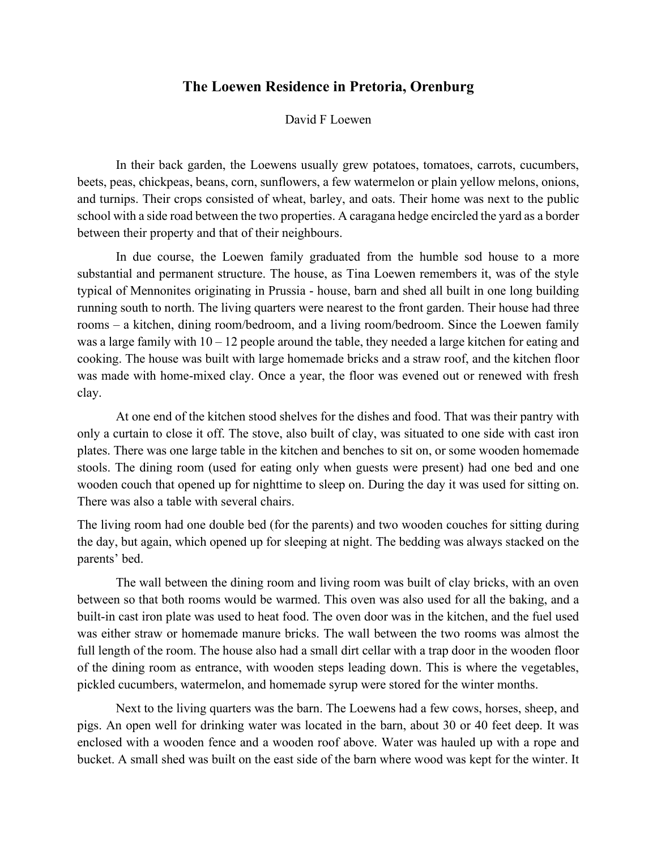## **The Loewen Residence in Pretoria, Orenburg**

## David F Loewen

In their back garden, the Loewens usually grew potatoes, tomatoes, carrots, cucumbers, beets, peas, chickpeas, beans, corn, sunflowers, a few watermelon or plain yellow melons, onions, and turnips. Their crops consisted of wheat, barley, and oats. Their home was next to the public school with a side road between the two properties. A caragana hedge encircled the yard as a border between their property and that of their neighbours.

In due course, the Loewen family graduated from the humble sod house to a more substantial and permanent structure. The house, as Tina Loewen remembers it, was of the style typical of Mennonites originating in Prussia - house, barn and shed all built in one long building running south to north. The living quarters were nearest to the front garden. Their house had three rooms – a kitchen, dining room/bedroom, and a living room/bedroom. Since the Loewen family was a large family with  $10 - 12$  people around the table, they needed a large kitchen for eating and cooking. The house was built with large homemade bricks and a straw roof, and the kitchen floor was made with home-mixed clay. Once a year, the floor was evened out or renewed with fresh clay.

At one end of the kitchen stood shelves for the dishes and food. That was their pantry with only a curtain to close it off. The stove, also built of clay, was situated to one side with cast iron plates. There was one large table in the kitchen and benches to sit on, or some wooden homemade stools. The dining room (used for eating only when guests were present) had one bed and one wooden couch that opened up for nighttime to sleep on. During the day it was used for sitting on. There was also a table with several chairs.

The living room had one double bed (for the parents) and two wooden couches for sitting during the day, but again, which opened up for sleeping at night. The bedding was always stacked on the parents' bed.

The wall between the dining room and living room was built of clay bricks, with an oven between so that both rooms would be warmed. This oven was also used for all the baking, and a built-in cast iron plate was used to heat food. The oven door was in the kitchen, and the fuel used was either straw or homemade manure bricks. The wall between the two rooms was almost the full length of the room. The house also had a small dirt cellar with a trap door in the wooden floor of the dining room as entrance, with wooden steps leading down. This is where the vegetables, pickled cucumbers, watermelon, and homemade syrup were stored for the winter months.

Next to the living quarters was the barn. The Loewens had a few cows, horses, sheep, and pigs. An open well for drinking water was located in the barn, about 30 or 40 feet deep. It was enclosed with a wooden fence and a wooden roof above. Water was hauled up with a rope and bucket. A small shed was built on the east side of the barn where wood was kept for the winter. It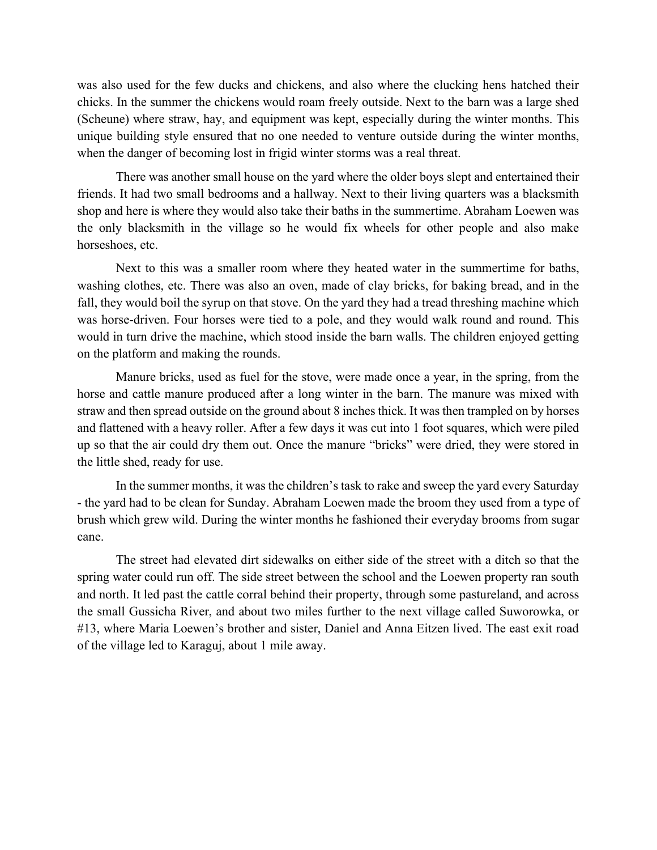was also used for the few ducks and chickens, and also where the clucking hens hatched their chicks. In the summer the chickens would roam freely outside. Next to the barn was a large shed (Scheune) where straw, hay, and equipment was kept, especially during the winter months. This unique building style ensured that no one needed to venture outside during the winter months, when the danger of becoming lost in frigid winter storms was a real threat.

There was another small house on the yard where the older boys slept and entertained their friends. It had two small bedrooms and a hallway. Next to their living quarters was a blacksmith shop and here is where they would also take their baths in the summertime. Abraham Loewen was the only blacksmith in the village so he would fix wheels for other people and also make horseshoes, etc.

Next to this was a smaller room where they heated water in the summertime for baths, washing clothes, etc. There was also an oven, made of clay bricks, for baking bread, and in the fall, they would boil the syrup on that stove. On the yard they had a tread threshing machine which was horse-driven. Four horses were tied to a pole, and they would walk round and round. This would in turn drive the machine, which stood inside the barn walls. The children enjoyed getting on the platform and making the rounds.

Manure bricks, used as fuel for the stove, were made once a year, in the spring, from the horse and cattle manure produced after a long winter in the barn. The manure was mixed with straw and then spread outside on the ground about 8 inches thick. It was then trampled on by horses and flattened with a heavy roller. After a few days it was cut into 1 foot squares, which were piled up so that the air could dry them out. Once the manure "bricks" were dried, they were stored in the little shed, ready for use.

In the summer months, it was the children's task to rake and sweep the yard every Saturday - the yard had to be clean for Sunday. Abraham Loewen made the broom they used from a type of brush which grew wild. During the winter months he fashioned their everyday brooms from sugar cane.

The street had elevated dirt sidewalks on either side of the street with a ditch so that the spring water could run off. The side street between the school and the Loewen property ran south and north. It led past the cattle corral behind their property, through some pastureland, and across the small Gussicha River, and about two miles further to the next village called Suworowka, or #13, where Maria Loewen's brother and sister, Daniel and Anna Eitzen lived. The east exit road of the village led to Karaguj, about 1 mile away.